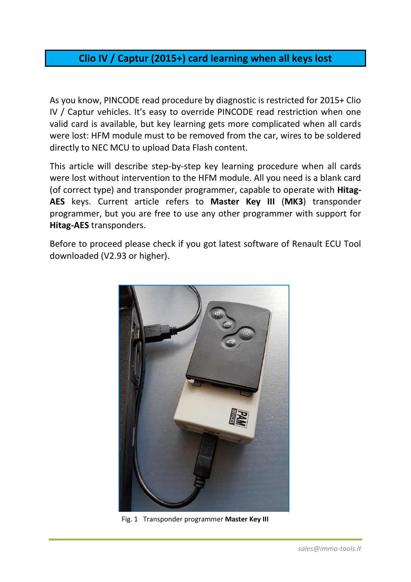## **Clio IV / Captur (2015+) card learning when all keys lost**

As you know, PINCODE read procedure by diagnostic is restricted for 2015+ Clio IV / Captur vehicles. It's easy to override PINCODE read restriction when one valid card is available, but key learning gets more complicated when all cards were lost: HFM module must to be removed from the car, wires to be soldered directly to NEC MCU to upload Data Flash content.

This article will describe step-by-step key learning procedure when all cards were lost without intervention to the HFM module. All you need is a blank card (of correct type) and transponder programmer, capable to operate with **Hitag-AES** keys. Current article refers to **Master Key III** (**MK3**) transponder programmer, but you are free to use any other programmer with support for **Hitag-AES** transponders.

Before to proceed please check if you got latest software of Renault ECU Tool downloaded (V2.93 or higher).



Fig. 1 Transponder programmer **Master Key III**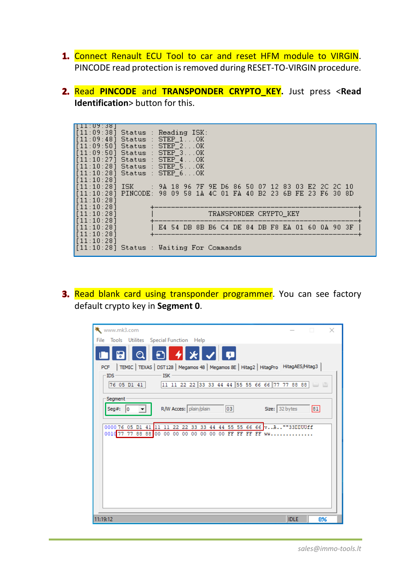- 1. Connect Renault ECU Tool to car and reset HFM module to VIRGIN. PINCODE read protection is removed during RESET-TO-VIRGIN procedure.
- Read **PINCODE** and **TRANSPONDER CRYPTO\_KEY.** Just press <**Read Identification**> button for this.

| 11 : UY : 38  <br>$[11:09:38]$ Status : Reading ISK:<br>$[11:09:48]$ Status : STEP_1OK<br>$[11:09:50]$ Status : STEP 2OK<br>$[11:09:50]$ Status : STEP_3OK<br>$[11:10:27]$ Status : STEP <sub>-4</sub> OK<br>$[11:10:28]$ Status : STEP_5OK<br>$[11:10:28]$ Status : STEP_6OK<br>$\left[ \lceil 11:10:28 \rceil \right]$<br>[11:10:28] | [11:10:28] ISK     : 9A 18 96 7F 9E D6 86 50 07 12 83 03 E2 2C 2C 10<br>[[11:10:28] PINCODE: 98 09 58 1A 4C 01 FA 40 B2 23 6B FE 23 F6 30 8D |
|----------------------------------------------------------------------------------------------------------------------------------------------------------------------------------------------------------------------------------------------------------------------------------------------------------------------------------------|----------------------------------------------------------------------------------------------------------------------------------------------|
| [11:10:28]<br>[11:10:28]                                                                                                                                                                                                                                                                                                               | TRANSPONDER CRYPTO KEY                                                                                                                       |
| $\left[ \lceil 11:10:28 \rceil \right]$<br>$\left[ \left\lceil 11:10:28 \right\rceil \right]$<br>$\vert$ [11:10:28]                                                                                                                                                                                                                    | E4 54 DB 8B B6 C4 DE 84 DB F8 EA 01 60 0A 90 3F                                                                                              |
| [11:10:28]                                                                                                                                                                                                                                                                                                                             | [11:10:28] Status : Waiting For Commands                                                                                                     |

3. Read blank card using transponder programmer. You can see factory default crypto key in **Segment 0**.

| www.mk3.com                                                                                  |             | $\Box$<br>$\times$ |
|----------------------------------------------------------------------------------------------|-------------|--------------------|
| File Tools Utilites Special Function Help                                                    |             |                    |
| $\mathbf{X}$<br>l ç<br>ÐI<br>⊙                                                               |             |                    |
| PCF   TEMIC   TEXAS   DST128   Megamos 48   Megamos 8E   Hitag2   HitagPro   HitagAES/Hitag3 |             |                    |
| $-$ IDS $-$<br>ISK-                                                                          |             |                    |
| 76 05 D1 41 11 11 22 22 33 33 44 44 55 55 66 66 77 77 88 88                                  |             |                    |
| Segment                                                                                      |             |                    |
| R/W Acces: plain/plain<br>Size: 32 bytes<br>03<br>Seg#: $ 0 $                                |             | 81                 |
|                                                                                              |             |                    |
| 22 22 33 33 44 44 55 55 66 66 vA""33DDUUff<br>000076 05 D1<br>41<br>11                       |             |                    |
| 0010 77 77 88 88 00 00 00 00 00 00 00 00 FF FF FF FF ww                                      |             |                    |
|                                                                                              |             |                    |
|                                                                                              |             |                    |
|                                                                                              |             |                    |
|                                                                                              |             |                    |
|                                                                                              |             |                    |
|                                                                                              |             |                    |
|                                                                                              |             |                    |
|                                                                                              |             |                    |
| 11:19:12                                                                                     | <b>IDLE</b> | 0%                 |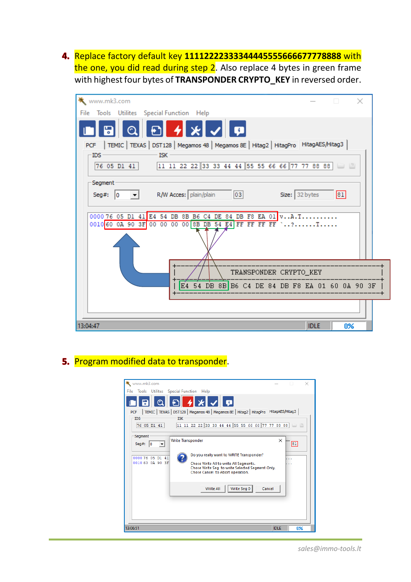Replace factory default key **11112222333344445555666677778888** with the one, you did read during step 2. Also replace 4 bytes in green frame with highest four bytes of **TRANSPONDER CRYPTO\_KEY** in reversed order.



#### 5. Program modified data to transponder.

| www.mk3.com<br>Utilites Special Function Help<br>Tools<br>File                                                                                                                                                                                                                                          |             |               |  |
|---------------------------------------------------------------------------------------------------------------------------------------------------------------------------------------------------------------------------------------------------------------------------------------------------------|-------------|---------------|--|
| Q▌Ð▎ <i>∕</i> ▎╳▌╱▌Ϙ▏<br>4<br>  TEMIC   TEXAS   DST128   Megamos 48   Megamos 8E   Hitag2   HitagPro   HitagAES/Hitag3<br><b>PCF</b><br><b>ISK</b><br><b>IDS</b><br>11 11 22 22 33 33 44 44 55 55 66 66 77 77 88 88<br>76 05 D1 41                                                                      |             | $\Box$ $\Box$ |  |
| Segment<br>Write Transponder<br>Seg#:<br>$\mathsf{I}$<br>$\overline{\phantom{a}}$<br>Do you really want to WRITE Transponder?<br>000076 05 D1<br>41<br>001060 0A 90 3F<br>Chose Write All to write All Segments.<br>Chose Write Seg to write Selected Segment Only.<br>Chose Cancel to Abort operation. | ×           | 181<br>.<br>. |  |
| Write Seg 0<br>Write All<br>Cancel                                                                                                                                                                                                                                                                      |             |               |  |
| 13:06:51                                                                                                                                                                                                                                                                                                | <b>IDLE</b> | <b>n%</b>     |  |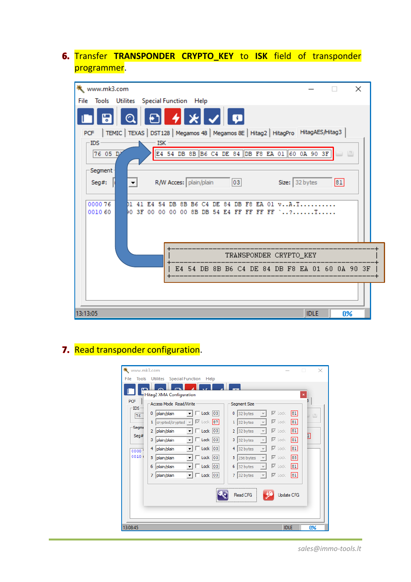### Transfer **TRANSPONDER CRYPTO\_KEY** to **ISK** field of transponder programmer.

| www.mk3.com<br>$\times$                                                                      |  |
|----------------------------------------------------------------------------------------------|--|
| File Tools Utilites Special Function Help                                                    |  |
| <b>≁ * √ ¤</b>                                                                               |  |
| PCF   TEMIC   TEXAS   DST128   Megamos 48   Megamos 8E   Hitag2   HitagPro   HitagAES/Hitag3 |  |
| -IDS·<br>ISK                                                                                 |  |
| E4 54 DB 8B B6 C4 DE 84 DB F8 EA 01 60 0A 90 3F<br>76 05 D                                   |  |
| Segment                                                                                      |  |
| R/W Acces: plain/plain<br>03<br>Size: 32 bytes<br> 81 <br>Seg#:                              |  |
| $\left(\frac{1}{2}\right)$                                                                   |  |
| 000076<br>F8 EA 01 vA.T<br>8B B6<br>84<br>DB<br>cа<br>DF                                     |  |
| 0010 60<br>E4 FF FF FF FF '?T<br>00 SF<br>8B<br>-54<br>nn<br>00.<br>00.<br>DB                |  |
|                                                                                              |  |
|                                                                                              |  |
|                                                                                              |  |
| TRANSPONDER CRYPTO_KEY                                                                       |  |
| E4 54 DB 8B B6 C4 DE 84 DB F8 EA 01 60 0A 90 3F                                              |  |
|                                                                                              |  |
|                                                                                              |  |
|                                                                                              |  |
| 13:13:05<br><b>IDLE</b><br>0%                                                                |  |

# 7. Read transponder configuration.

| www.mk3.com   |                                                                                                                                    | ×<br>□                                          |
|---------------|------------------------------------------------------------------------------------------------------------------------------------|-------------------------------------------------|
| Tools<br>File | <b>Utilites</b><br>Special Function Help                                                                                           |                                                 |
|               |                                                                                                                                    |                                                 |
|               | Hitag2 XMA Configuration                                                                                                           | ×<br>3.                                         |
| PCF<br>IDS-   | Access Mode Read/Write<br>Segment Size                                                                                             |                                                 |
| 76            | $\overline{\triangledown}$ Lock<br>$\Box$ Lock<br> 03 <br>$0$ 32 bytes<br>plain/plain<br>0                                         | 81 <br>$\left\lfloor \frac{m}{2} \right\rfloor$ |
|               | $\overline{\triangledown}$ Lock<br>87<br>$\overline{\triangledown}$ Lock<br>crypted/crypted v<br>$1 \vert$ 32 bytes<br>1           | 81                                              |
| Segme<br>Seq# | $\Box$ Lock 03<br>$2$ 32 bytes<br>⊽<br>plain/plain<br>Lock<br>$\overline{2}$                                                       | 81 <br>IJ                                       |
|               | $\Box$ Lock 03<br>$\nabla$ Lock<br>3 32 bytes<br>3<br>plain/plain<br>$\overline{\mathbf{v}}$                                       | 81                                              |
| 0000          | $\sqrt{2}$ Lock 03<br>$\nabla$ Lock<br>$4 \vert$ 32 bytes<br>plain/plain<br>4<br>$\overline{\psi}$                                 | 81                                              |
| 0010.         | $\sqrt{2}$ Lock 03<br>5<br>⊽<br>5<br>plain/plain<br>256 bytes<br>Lock<br>$\overline{\phantom{a}}$                                  | 88                                              |
|               | $\Box$ Lock $ 03 $<br>⊽<br>6<br>plain/plain<br>$6$ 32 bytes<br>Lock<br>$\overline{\mathbf{v}}$                                     | 81                                              |
|               | $\Box$ Lock 03<br>$\nabla$ Lock<br>32 bytes<br>plain/plain<br>$\overline{7}$<br>7<br>$\overline{\psi}$<br>$\overline{\phantom{a}}$ | 81                                              |
|               |                                                                                                                                    |                                                 |
|               | Update CFG<br><b>Read CFG</b>                                                                                                      |                                                 |
|               |                                                                                                                                    |                                                 |
|               |                                                                                                                                    |                                                 |
| 13:08:45      | <b>IDLE</b>                                                                                                                        | 0%                                              |

*sales@immo-tools.lt*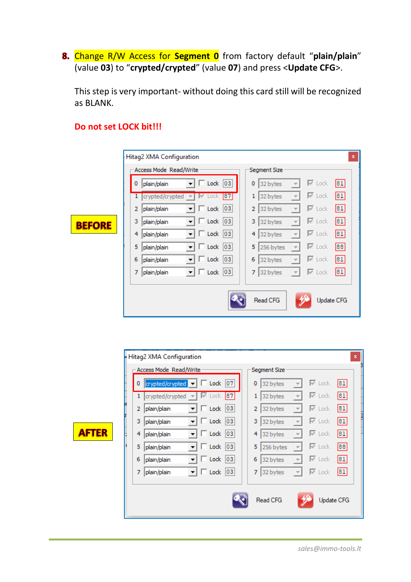Change R/W Access for **Segment 0** from factory default "**plain/plain**" (value **03**) to "**crypted/crypted**" (value **07**) and press <**Update CFG**>.

This step is very important- without doing this card still will be recognized as BLANK.

|               | Hitag2 XMA Configuration                                             | $\pmb{\mathsf{x}}$                                                                    |
|---------------|----------------------------------------------------------------------|---------------------------------------------------------------------------------------|
|               | Access Mode Read/Write                                               | Segment Size                                                                          |
|               | $\overline{\phantom{a}}$<br>$\Box$ Lock 03<br>0<br>plain/plain       | $\overline{\triangledown}$ Lock<br> 81 <br>0<br>32 bytes<br>$\overline{\phantom{a}}$  |
|               | 87 <br>1<br>crypted/crypted<br>M<br>Lock<br>$\overline{\phantom{a}}$ | $\overline{\triangleright}$ Lock<br> 81 <br>1<br>32 bytes<br>$\overline{\mathcal{M}}$ |
|               | $\Box$ Lock 03<br>plain/plain<br>2<br>▼                              | $\overline{\triangledown}$ Lock<br> 81 <br>2<br>32 bytes                              |
| <b>BEFORE</b> | $\sqrt{2}$ Lock $\sqrt{0.3}$<br>з<br>plain/plain<br>▼                | $\overline{\triangleright}$ Lock<br> 81 <br>3<br>32 bytes                             |
|               | $\Box$ Lock $ 03 $<br>4<br>plain/plain<br><b>v</b>                   | $\overline{\triangledown}$ Lock<br> 81 <br>4<br>32 bytes<br>$\overline{\phantom{a}}$  |
|               | $\sqrt{2}$ Lock $\sqrt{03}$<br>5<br>plain/plain<br>▼                 | l⊠ Lock<br>88<br>5<br>256 bytes<br>$\overline{\phantom{m}}$                           |
|               | $\Box$ Lock $ 03 $<br>6<br>plain/plain<br>▼                          | $\overline{\triangleright}$ Lock<br> 81 <br>6<br>32 bytes<br>$\overline{\phantom{a}}$ |
|               | $\sqrt{ }$ Lock $ 03 $<br>7<br>plain/plain<br>$\blacktriangledown$   | $\overline{\triangledown}$ Lock<br> 81 <br>32 bytes<br>7                              |
|               |                                                                      |                                                                                       |
|               |                                                                      | Read CFG<br><b>Update CFG</b>                                                         |

### **Do not set LOCK bit!!!**

 $\blacktriangle$ 

|     |   | Hitag2 XMA Configuration                                              | $\pmb{\mathsf{x}}$                                                                  |
|-----|---|-----------------------------------------------------------------------|-------------------------------------------------------------------------------------|
|     |   | Access Mode Read/Write                                                | Segment Size                                                                        |
|     | 0 | crypted/crypted $\blacksquare$ $\blacksquare$ Lock $\lceil 07 \rceil$ | $\overline{\triangledown}$ Lock<br>81<br>32 bytes<br>0<br>$\overline{\mathcal{M}}$  |
|     | 1 | 87<br>crypted/crypted $\blacktriangledown$<br>l⊻ Lock                 | 81 <br>$\overline{\triangledown}$ Lock<br>32 bytes<br>1                             |
|     | 2 | $\Box$ Lock 03<br>plain/plain<br>▾╎                                   | 81<br>$\overline{\triangledown}$ Lock<br>32 bytes<br>2<br>$\overline{\mathcal{N}}$  |
|     | 3 | $\sqrt{ }$ Lock 03<br>plain/plain<br>▾╎                               | 81 <br>$\overline{\triangledown}$ Lock<br>3<br>32 bytes<br>$\overline{\mathcal{N}}$ |
| TER | 4 | $\Box$ Lock 03<br>▾╎<br>plain/plain                                   | 81<br><b>⊠</b> Lock<br>32 bytes<br>4<br>$\overline{\psi}$                           |
|     | 5 | $\Box$ Lock $ 03 $<br>plain/plain<br>▾╎                               | 88<br>$\triangledown$ Lock<br>5<br>256 bytes<br>$\overline{\psi}$                   |
|     | 6 | $\sqrt{ }$ Lock 03<br>plain/plain<br>▼                                | 81<br>l⊠ Lock<br>32 bytes<br>6<br>$\overline{\mathcal{N}}$                          |
|     | 7 | $\sqrt{ }$ Lock 03<br>plain/plain<br>▾╎                               | $\overline{\triangledown}$ Lock<br> 81 <br>32 bytes<br>7<br>$\overline{\mathbb{C}}$ |
|     |   |                                                                       |                                                                                     |
|     |   |                                                                       | Read CFG<br><b>Update CFG</b>                                                       |
|     |   |                                                                       |                                                                                     |